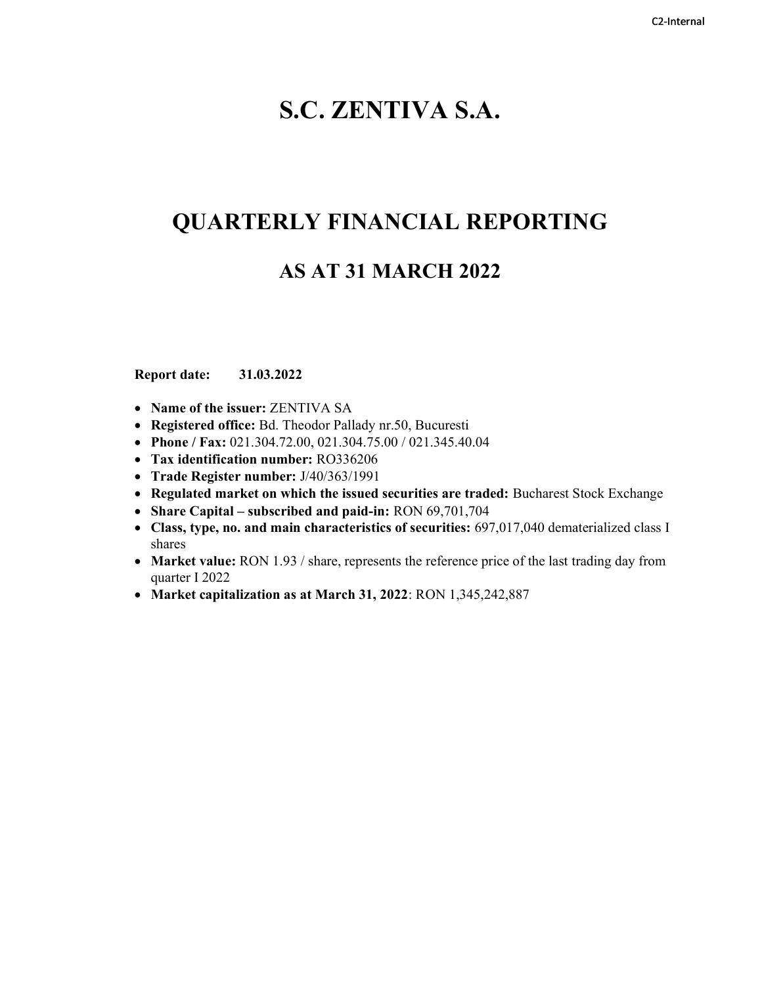# S.C. ZENTIVA S.A.

# QUARTERLY FINANCIAL REPORTING

# AS AT 31 MARCH 2022

Report date: 31.03.2022

- Name of the issuer: ZENTIVA SA
- Registered office: Bd. Theodor Pallady nr.50, Bucuresti
- Phone / Fax: 021.304.72.00, 021.304.75.00 / 021.345.40.04
- Tax identification number: RO336206
- Trade Register number: J/40/363/1991
- Regulated market on which the issued securities are traded: Bucharest Stock Exchange
- Share Capital subscribed and paid-in: RON 69,701,704
- Class, type, no. and main characteristics of securities: 697,017,040 dematerialized class I shares
- Market value: RON 1.93 / share, represents the reference price of the last trading day from quarter I 2022
- Market capitalization as at March 31, 2022: RON 1,345,242,887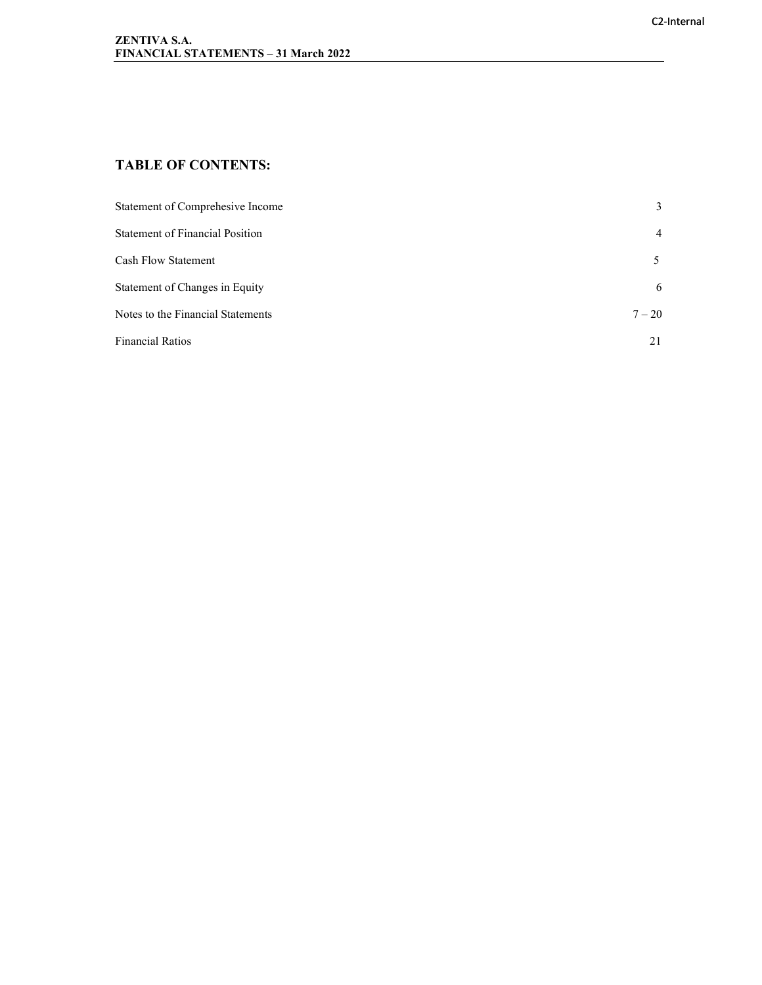# TABLE OF CONTENTS:

| Statement of Comprehesive Income       | 3              |
|----------------------------------------|----------------|
| <b>Statement of Financial Position</b> | $\overline{4}$ |
| <b>Cash Flow Statement</b>             |                |
| Statement of Changes in Equity         | 6              |
| Notes to the Financial Statements      | $7 - 20$       |
| <b>Financial Ratios</b>                | 21             |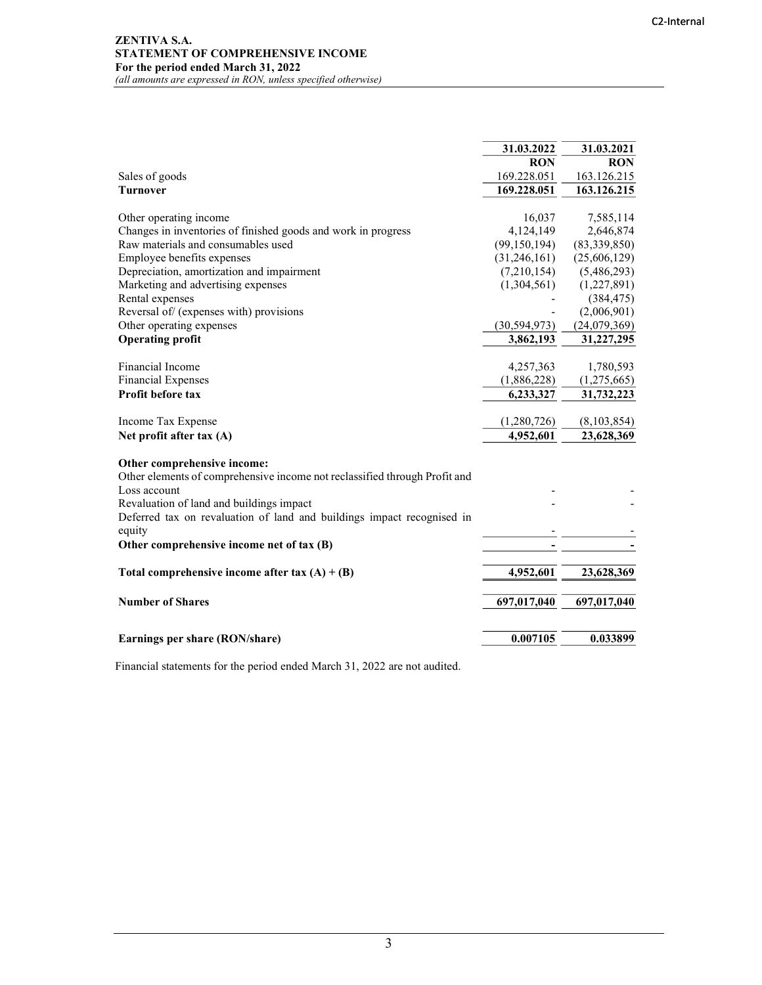#### ZENTIVA S.A. STATEMENT OF COMPREHENSIVE INCOME For the period ended March 31, 2022 (all amounts are expressed in RON, unless specified otherwise)

|                                                                            | 31.03.2022     | 31.03.2021   |
|----------------------------------------------------------------------------|----------------|--------------|
|                                                                            | <b>RON</b>     | <b>RON</b>   |
| Sales of goods                                                             | 169.228.051    | 163.126.215  |
| <b>Turnover</b>                                                            | 169.228.051    | 163.126.215  |
|                                                                            |                |              |
| Other operating income                                                     | 16,037         | 7,585,114    |
| Changes in inventories of finished goods and work in progress              | 4,124,149      | 2,646,874    |
| Raw materials and consumables used                                         | (99, 150, 194) | (83,339,850) |
| Employee benefits expenses                                                 | (31,246,161)   | (25,606,129) |
| Depreciation, amortization and impairment                                  | (7,210,154)    | (5,486,293)  |
| Marketing and advertising expenses                                         | (1,304,561)    | (1,227,891)  |
| Rental expenses                                                            |                | (384, 475)   |
| Reversal of (expenses with) provisions                                     |                | (2,006,901)  |
| Other operating expenses                                                   | (30, 594, 973) | (24,079,369) |
| <b>Operating profit</b>                                                    | 3,862,193      | 31,227,295   |
|                                                                            |                |              |
| Financial Income                                                           | 4,257,363      | 1,780,593    |
| <b>Financial Expenses</b>                                                  | (1,886,228)    | (1,275,665)  |
| Profit before tax                                                          | 6,233,327      | 31,732,223   |
|                                                                            |                |              |
| Income Tax Expense                                                         | (1,280,726)    | (8,103,854)  |
| Net profit after tax (A)                                                   | 4,952,601      | 23,628,369   |
|                                                                            |                |              |
| Other comprehensive income:                                                |                |              |
| Other elements of comprehensive income not reclassified through Profit and |                |              |
| Loss account                                                               |                |              |
| Revaluation of land and buildings impact                                   |                |              |
| Deferred tax on revaluation of land and buildings impact recognised in     |                |              |
| equity                                                                     |                |              |
| Other comprehensive income net of tax (B)                                  |                |              |
|                                                                            |                |              |
| Total comprehensive income after tax $(A) + (B)$                           | 4,952,601      | 23,628,369   |
|                                                                            |                |              |
| <b>Number of Shares</b>                                                    | 697,017,040    | 697,017,040  |
|                                                                            |                |              |
|                                                                            |                |              |
| Earnings per share (RON/share)                                             | 0.007105       | 0.033899     |
|                                                                            |                |              |

Financial statements for the period ended March 31, 2022 are not audited.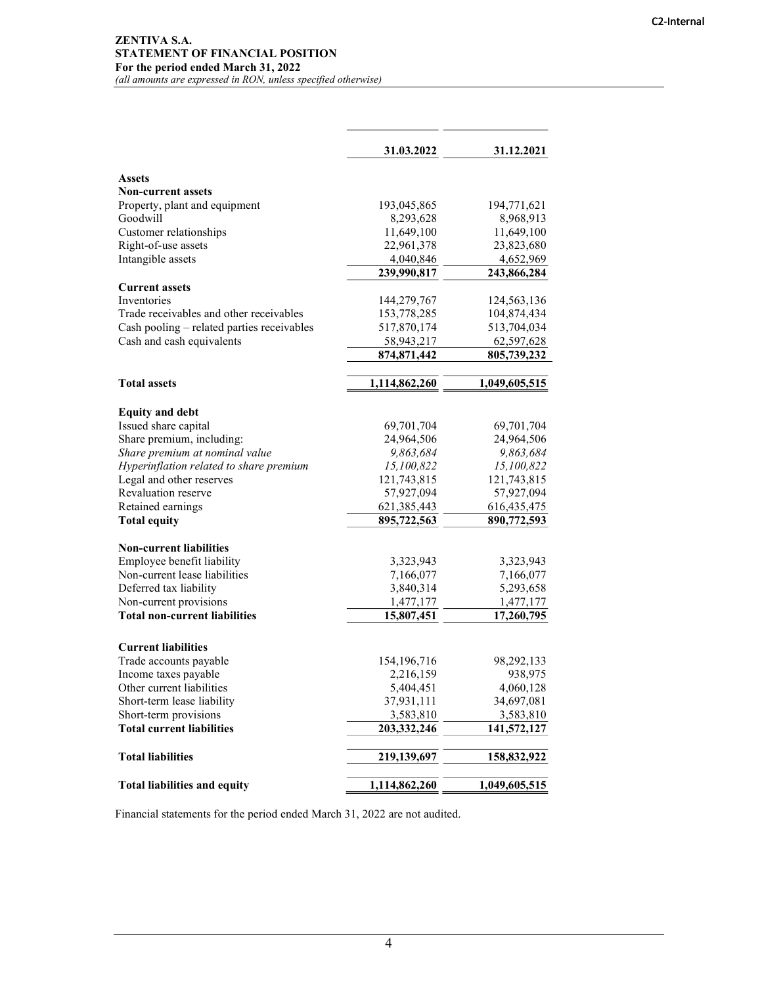|                                            | 31.03.2022    | 31.12.2021    |
|--------------------------------------------|---------------|---------------|
| <b>Assets</b>                              |               |               |
| <b>Non-current assets</b>                  |               |               |
| Property, plant and equipment              | 193,045,865   | 194,771,621   |
| Goodwill                                   | 8,293,628     | 8,968,913     |
| Customer relationships                     | 11,649,100    | 11,649,100    |
| Right-of-use assets                        | 22,961,378    | 23,823,680    |
| Intangible assets                          | 4,040,846     | 4,652,969     |
|                                            | 239,990,817   | 243,866,284   |
| <b>Current assets</b>                      |               |               |
| <b>Inventories</b>                         | 144,279,767   | 124,563,136   |
| Trade receivables and other receivables    | 153,778,285   | 104,874,434   |
| Cash pooling - related parties receivables | 517,870,174   | 513,704,034   |
| Cash and cash equivalents                  | 58,943,217    | 62,597,628    |
|                                            | 874, 871, 442 | 805,739,232   |
| <b>Total assets</b>                        | 1,114,862,260 | 1,049,605,515 |
|                                            |               |               |
| <b>Equity and debt</b>                     |               |               |
| Issued share capital                       | 69,701,704    | 69,701,704    |
| Share premium, including:                  | 24,964,506    | 24,964,506    |
| Share premium at nominal value             | 9,863,684     | 9,863,684     |
| Hyperinflation related to share premium    | 15,100,822    | 15,100,822    |
| Legal and other reserves                   | 121,743,815   | 121,743,815   |
| Revaluation reserve                        | 57,927,094    | 57,927,094    |
| Retained earnings                          | 621, 385, 443 | 616, 435, 475 |
| <b>Total equity</b>                        | 895,722,563   | 890,772,593   |
| <b>Non-current liabilities</b>             |               |               |
| Employee benefit liability                 | 3,323,943     | 3,323,943     |
| Non-current lease liabilities              | 7,166,077     | 7,166,077     |
| Deferred tax liability                     | 3,840,314     | 5,293,658     |
| Non-current provisions                     | 1,477,177     | 1,477,177     |
| <b>Total non-current liabilities</b>       | 15,807,451    | 17,260,795    |
|                                            |               |               |
| <b>Current liabilities</b>                 |               |               |
| Trade accounts payable                     | 154, 196, 716 | 98,292,133    |
| Income taxes payable                       | 2,216,159     | 938,975       |
| Other current liabilities                  | 5,404,451     | 4,060,128     |
| Short-term lease liability                 | 37,931,111    | 34,697,081    |
| Short-term provisions                      | 3,583,810     | 3,583,810     |
| <b>Total current liabilities</b>           | 203,332,246   | 141,572,127   |
| <b>Total liabilities</b>                   | 219,139,697   | 158,832,922   |
| <b>Total liabilities and equity</b>        | 1,114,862,260 | 1,049,605,515 |

Financial statements for the period ended March 31, 2022 are not audited.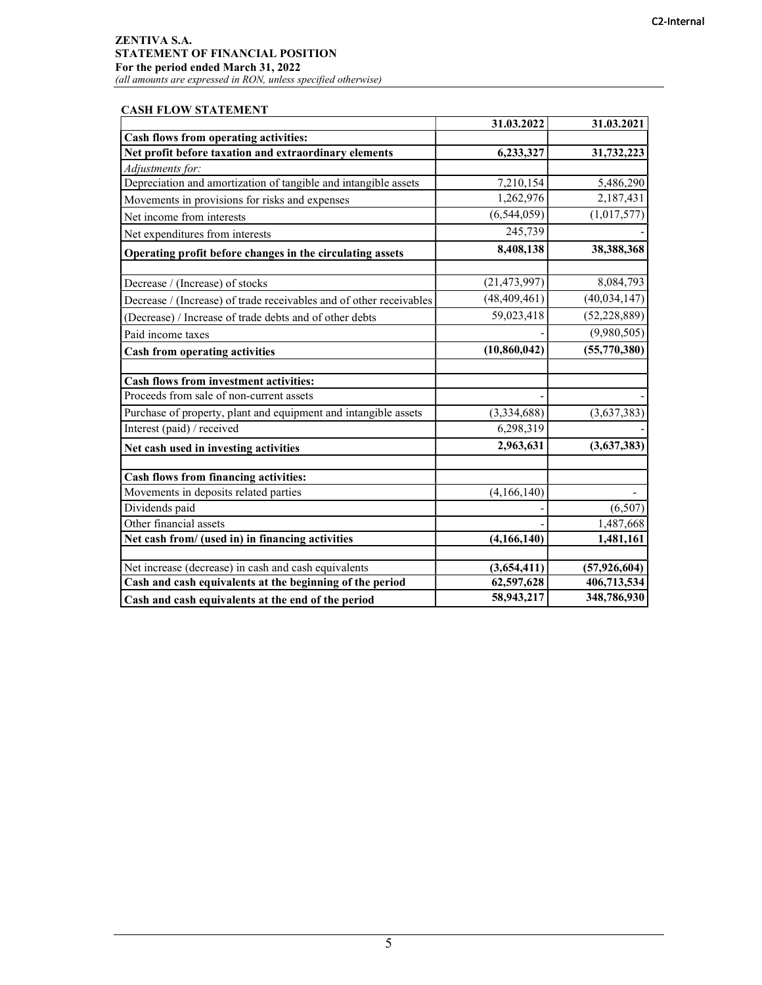# ZENTIVA S.A. STATEMENT OF FINANCIAL POSITION For the period ended March 31, 2022

(all amounts are expressed in RON, unless specified otherwise)

## CASH FLOW STATEMENT

|                                                                     | 31.03.2022     | 31.03.2021     |
|---------------------------------------------------------------------|----------------|----------------|
| Cash flows from operating activities:                               |                |                |
| Net profit before taxation and extraordinary elements               | 6,233,327      | 31,732,223     |
| Adjustments for:                                                    |                |                |
| Depreciation and amortization of tangible and intangible assets     | 7,210,154      | 5,486,290      |
| Movements in provisions for risks and expenses                      | 1,262,976      | 2,187,431      |
| Net income from interests                                           | (6, 544, 059)  | (1,017,577)    |
| Net expenditures from interests                                     | 245,739        |                |
| Operating profit before changes in the circulating assets           | 8,408,138      | 38,388,368     |
| Decrease / (Increase) of stocks                                     | (21, 473, 997) | 8,084,793      |
| Decrease / (Increase) of trade receivables and of other receivables | (48, 409, 461) | (40,034,147)   |
| (Decrease) / Increase of trade debts and of other debts             | 59,023,418     | (52, 228, 889) |
| Paid income taxes                                                   |                | (9,980,505)    |
| <b>Cash from operating activities</b>                               | (10, 860, 042) | (55,770,380)   |
| <b>Cash flows from investment activities:</b>                       |                |                |
| Proceeds from sale of non-current assets                            |                |                |
| Purchase of property, plant and equipment and intangible assets     | (3,334,688)    | (3,637,383)    |
| Interest (paid) / received                                          | 6,298,319      |                |
| Net cash used in investing activities                               | 2,963,631      | (3,637,383)    |
| Cash flows from financing activities:                               |                |                |
| Movements in deposits related parties                               | (4,166,140)    |                |
| Dividends paid                                                      |                | (6,507)        |
| Other financial assets                                              |                | 1,487,668      |
| Net cash from/ (used in) in financing activities                    | (4, 166, 140)  | 1,481,161      |
| Net increase (decrease) in cash and cash equivalents                | (3,654,411)    | (57, 926, 604) |
| Cash and cash equivalents at the beginning of the period            | 62,597,628     | 406,713,534    |
| Cash and cash equivalents at the end of the period                  | 58,943,217     | 348,786,930    |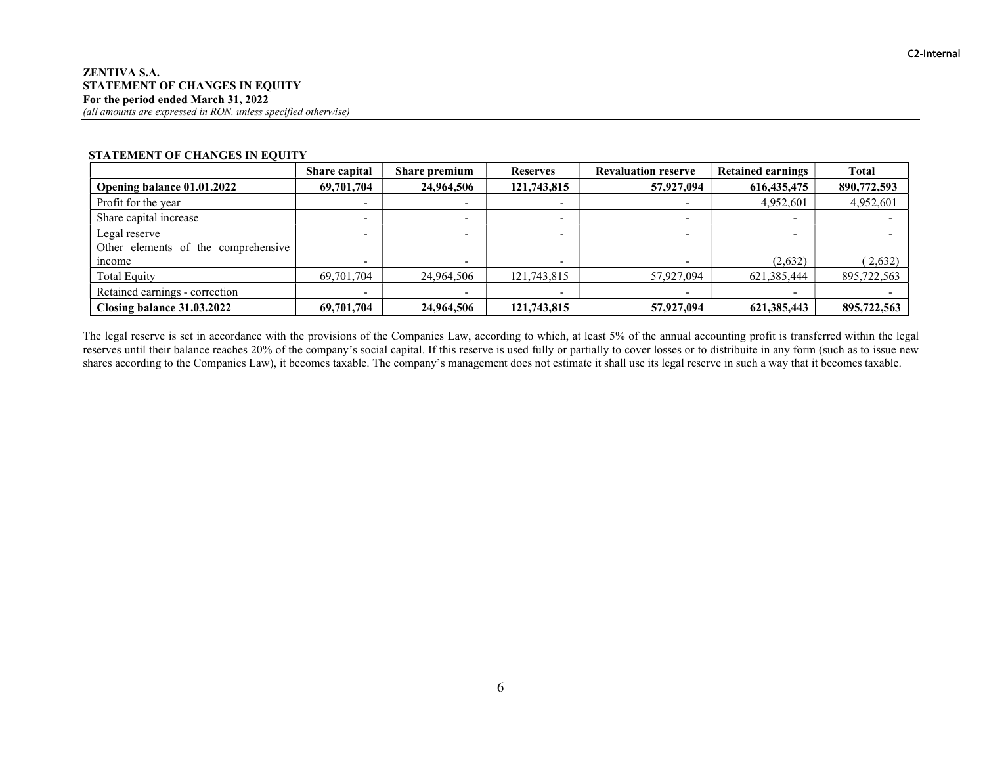|                                     | <b>Share capital</b> | <b>Share premium</b> | <b>Reserves</b> | <b>Revaluation reserve</b> | <b>Retained earnings</b> | <b>Total</b> |
|-------------------------------------|----------------------|----------------------|-----------------|----------------------------|--------------------------|--------------|
| Opening balance 01.01.2022          | 69,701,704           | 24,964,506           | 121,743,815     | 57,927,094                 | 616, 435, 475            | 890,772,593  |
| Profit for the year                 |                      |                      |                 |                            | 4,952,601                | 4,952,601    |
| Share capital increase              | ۰                    |                      | -               |                            |                          |              |
| Legal reserve                       |                      |                      | -               |                            |                          |              |
| Other elements of the comprehensive |                      |                      |                 |                            |                          |              |
| mcome                               |                      |                      |                 |                            | (2,632)                  | (2,632)      |
| Total Equity                        | 69,701,704           | 24,964,506           | 121,743,815     | 57,927,094                 | 621, 385, 444            | 895,722,563  |
| Retained earnings - correction      |                      |                      |                 |                            |                          |              |
| Closing balance 31.03.2022          | 69,701,704           | 24,964,506           | 121,743,815     | 57,927,094                 | 621,385,443              | 895,722,563  |

#### STATEMENT OF CHANGES IN EQUITY

The legal reserve is set in accordance with the provisions of the Companies Law, according to which, at least 5% of the annual accounting profit is transferred within the legal reserves until their balance reaches 20% of the company's social capital. If this reserve is used fully or partially to cover losses or to distribuite in any form (such as to issue new shares according to the Companies Law), it becomes taxable. The company's management does not estimate it shall use its legal reserve in such a way that it becomes taxable.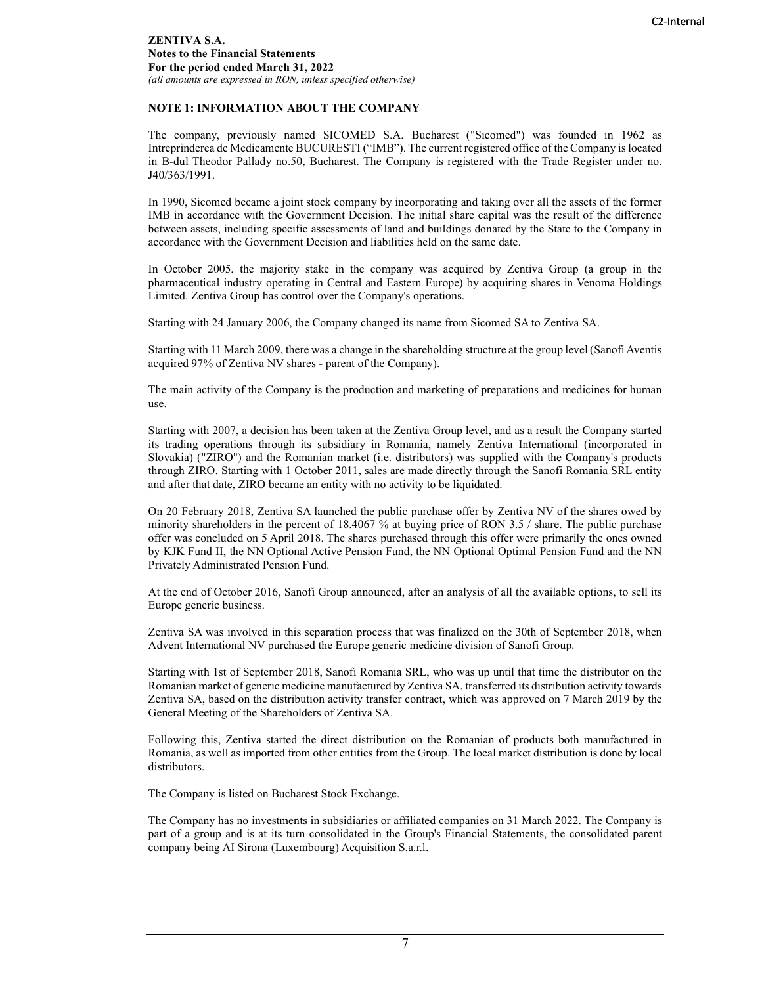### NOTE 1: INFORMATION ABOUT THE COMPANY

The company, previously named SICOMED S.A. Bucharest ("Sicomed") was founded in 1962 as Intreprinderea de Medicamente BUCURESTI ("IMB"). The current registered office of the Company is located in B-dul Theodor Pallady no.50, Bucharest. The Company is registered with the Trade Register under no. J40/363/1991.

In 1990, Sicomed became a joint stock company by incorporating and taking over all the assets of the former IMB in accordance with the Government Decision. The initial share capital was the result of the difference between assets, including specific assessments of land and buildings donated by the State to the Company in accordance with the Government Decision and liabilities held on the same date.

In October 2005, the majority stake in the company was acquired by Zentiva Group (a group in the pharmaceutical industry operating in Central and Eastern Europe) by acquiring shares in Venoma Holdings Limited. Zentiva Group has control over the Company's operations.

Starting with 24 January 2006, the Company changed its name from Sicomed SA to Zentiva SA.

Starting with 11 March 2009, there was a change in the shareholding structure at the group level (Sanofi Aventis acquired 97% of Zentiva NV shares - parent of the Company).

The main activity of the Company is the production and marketing of preparations and medicines for human use.

Starting with 2007, a decision has been taken at the Zentiva Group level, and as a result the Company started its trading operations through its subsidiary in Romania, namely Zentiva International (incorporated in Slovakia) ("ZIRO") and the Romanian market (i.e. distributors) was supplied with the Company's products through ZIRO. Starting with 1 October 2011, sales are made directly through the Sanofi Romania SRL entity and after that date, ZIRO became an entity with no activity to be liquidated.

On 20 February 2018, Zentiva SA launched the public purchase offer by Zentiva NV of the shares owed by minority shareholders in the percent of 18.4067 % at buying price of RON 3.5 / share. The public purchase offer was concluded on 5 April 2018. The shares purchased through this offer were primarily the ones owned by KJK Fund II, the NN Optional Active Pension Fund, the NN Optional Optimal Pension Fund and the NN Privately Administrated Pension Fund.

At the end of October 2016, Sanofi Group announced, after an analysis of all the available options, to sell its Europe generic business.

Zentiva SA was involved in this separation process that was finalized on the 30th of September 2018, when Advent International NV purchased the Europe generic medicine division of Sanofi Group.

Starting with 1st of September 2018, Sanofi Romania SRL, who was up until that time the distributor on the Romanian market of generic medicine manufactured by Zentiva SA, transferred its distribution activity towards Zentiva SA, based on the distribution activity transfer contract, which was approved on 7 March 2019 by the General Meeting of the Shareholders of Zentiva SA.

Following this, Zentiva started the direct distribution on the Romanian of products both manufactured in Romania, as well as imported from other entities from the Group. The local market distribution is done by local distributors.

The Company is listed on Bucharest Stock Exchange.

The Company has no investments in subsidiaries or affiliated companies on 31 March 2022. The Company is part of a group and is at its turn consolidated in the Group's Financial Statements, the consolidated parent company being AI Sirona (Luxembourg) Acquisition S.a.r.l.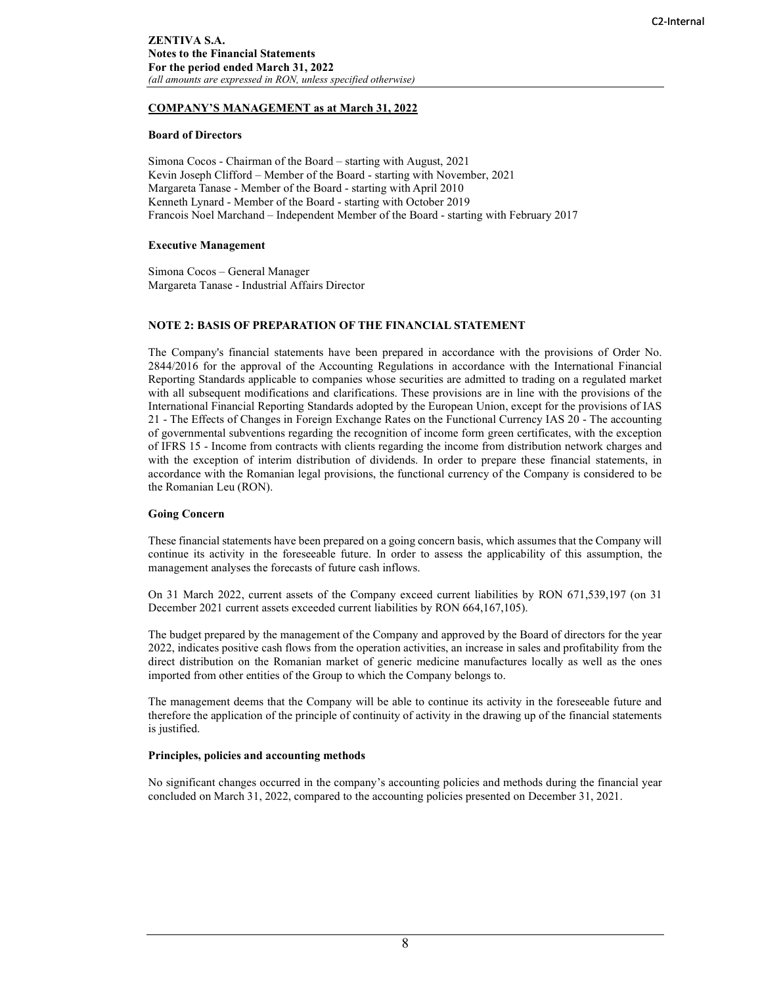## COMPANY'S MANAGEMENT as at March 31, 2022

#### Board of Directors

Simona Cocos - Chairman of the Board – starting with August, 2021 Kevin Joseph Clifford – Member of the Board - starting with November, 2021 Margareta Tanase - Member of the Board - starting with April 2010 Kenneth Lynard - Member of the Board - starting with October 2019 Francois Noel Marchand – Independent Member of the Board - starting with February 2017

#### Executive Management

Simona Cocos – General Manager Margareta Tanase - Industrial Affairs Director

#### NOTE 2: BASIS OF PREPARATION OF THE FINANCIAL STATEMENT

The Company's financial statements have been prepared in accordance with the provisions of Order No. 2844/2016 for the approval of the Accounting Regulations in accordance with the International Financial Reporting Standards applicable to companies whose securities are admitted to trading on a regulated market with all subsequent modifications and clarifications. These provisions are in line with the provisions of the International Financial Reporting Standards adopted by the European Union, except for the provisions of IAS 21 - The Effects of Changes in Foreign Exchange Rates on the Functional Currency IAS 20 - The accounting of governmental subventions regarding the recognition of income form green certificates, with the exception of IFRS 15 - Income from contracts with clients regarding the income from distribution network charges and with the exception of interim distribution of dividends. In order to prepare these financial statements, in accordance with the Romanian legal provisions, the functional currency of the Company is considered to be the Romanian Leu (RON).

#### Going Concern

These financial statements have been prepared on a going concern basis, which assumes that the Company will continue its activity in the foreseeable future. In order to assess the applicability of this assumption, the management analyses the forecasts of future cash inflows.

On 31 March 2022, current assets of the Company exceed current liabilities by RON 671,539,197 (on 31 December 2021 current assets exceeded current liabilities by RON 664,167,105).

The budget prepared by the management of the Company and approved by the Board of directors for the year 2022, indicates positive cash flows from the operation activities, an increase in sales and profitability from the direct distribution on the Romanian market of generic medicine manufactures locally as well as the ones imported from other entities of the Group to which the Company belongs to.

The management deems that the Company will be able to continue its activity in the foreseeable future and therefore the application of the principle of continuity of activity in the drawing up of the financial statements is justified.

#### Principles, policies and accounting methods

No significant changes occurred in the company's accounting policies and methods during the financial year concluded on March 31, 2022, compared to the accounting policies presented on December 31, 2021.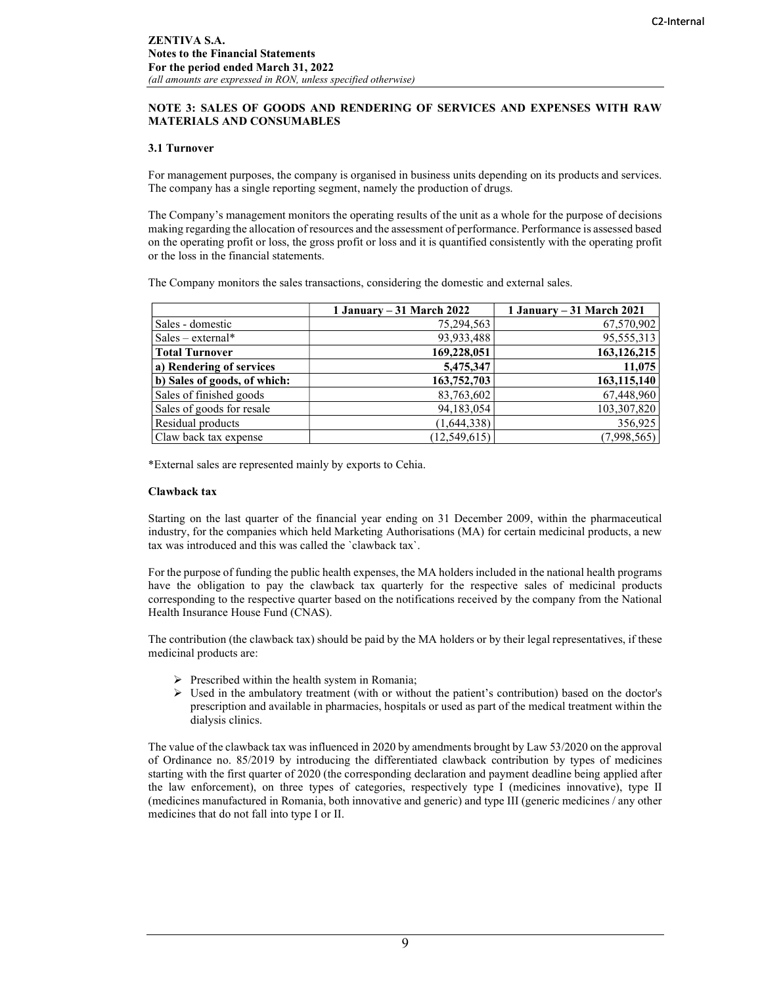### NOTE 3: SALES OF GOODS AND RENDERING OF SERVICES AND EXPENSES WITH RAW MATERIALS AND CONSUMABLES

#### 3.1 Turnover

For management purposes, the company is organised in business units depending on its products and services. The company has a single reporting segment, namely the production of drugs.

The Company's management monitors the operating results of the unit as a whole for the purpose of decisions making regarding the allocation of resources and the assessment of performance. Performance is assessed based on the operating profit or loss, the gross profit or loss and it is quantified consistently with the operating profit or the loss in the financial statements.

The Company monitors the sales transactions, considering the domestic and external sales.

|                              | 1 January – 31 March 2022 | 1 January – 31 March 2021 |
|------------------------------|---------------------------|---------------------------|
| Sales - domestic             | 75,294,563                | 67,570,902                |
| $Sales - external*$          | 93,933,488                | 95,555,313                |
| <b>Total Turnover</b>        | 169,228,051               | 163, 126, 215             |
| a) Rendering of services     | 5,475,347                 | 11,075                    |
| b) Sales of goods, of which: | 163,752,703               | 163,115,140               |
| Sales of finished goods      | 83,763,602                | 67,448,960                |
| Sales of goods for resale    | 94,183,054                | 103,307,820               |
| Residual products            | (1,644,338)               | 356,925                   |
| Claw back tax expense        | (12, 549, 615)            | (7,998,565)               |

\*External sales are represented mainly by exports to Cehia.

#### Clawback tax

Starting on the last quarter of the financial year ending on 31 December 2009, within the pharmaceutical industry, for the companies which held Marketing Authorisations (MA) for certain medicinal products, a new tax was introduced and this was called the `clawback tax`.

For the purpose of funding the public health expenses, the MA holders included in the national health programs have the obligation to pay the clawback tax quarterly for the respective sales of medicinal products corresponding to the respective quarter based on the notifications received by the company from the National Health Insurance House Fund (CNAS).

The contribution (the clawback tax) should be paid by the MA holders or by their legal representatives, if these medicinal products are:

- $\triangleright$  Prescribed within the health system in Romania;
- $\triangleright$  Used in the ambulatory treatment (with or without the patient's contribution) based on the doctor's prescription and available in pharmacies, hospitals or used as part of the medical treatment within the dialysis clinics.

The value of the clawback tax was influenced in 2020 by amendments brought by Law 53/2020 on the approval of Ordinance no. 85/2019 by introducing the differentiated clawback contribution by types of medicines starting with the first quarter of 2020 (the corresponding declaration and payment deadline being applied after the law enforcement), on three types of categories, respectively type I (medicines innovative), type II (medicines manufactured in Romania, both innovative and generic) and type III (generic medicines / any other medicines that do not fall into type I or II.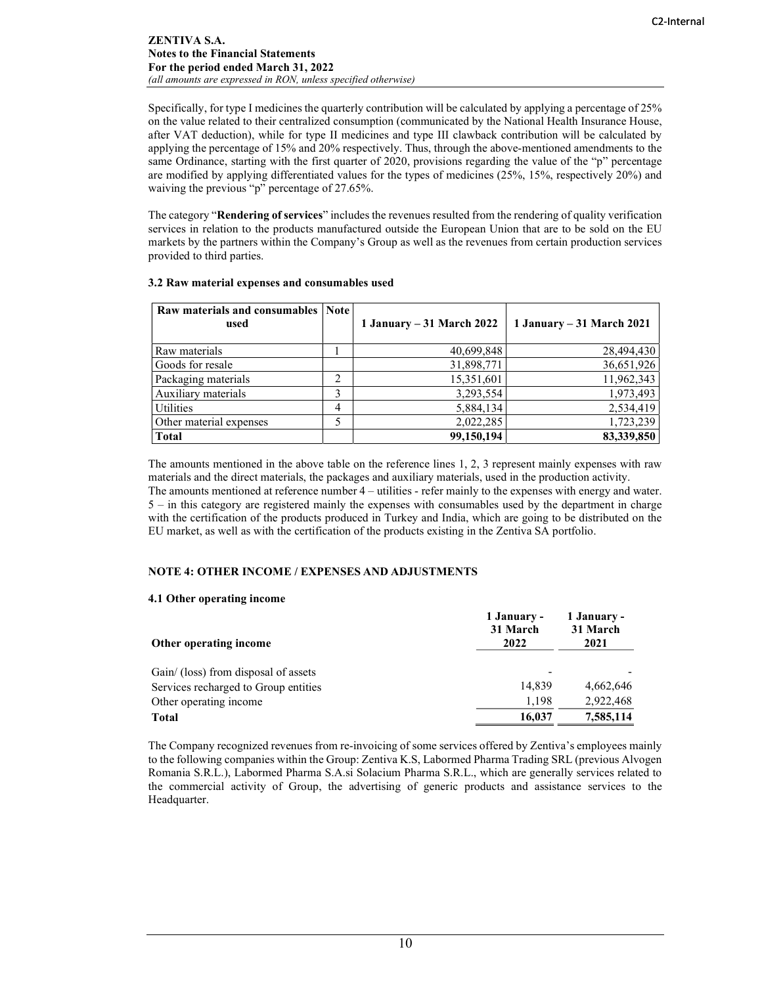Specifically, for type I medicines the quarterly contribution will be calculated by applying a percentage of 25% on the value related to their centralized consumption (communicated by the National Health Insurance House, after VAT deduction), while for type II medicines and type III clawback contribution will be calculated by applying the percentage of 15% and 20% respectively. Thus, through the above-mentioned amendments to the same Ordinance, starting with the first quarter of 2020, provisions regarding the value of the "p" percentage are modified by applying differentiated values for the types of medicines (25%, 15%, respectively 20%) and waiving the previous "p" percentage of 27.65%.

The category "Rendering of services" includes the revenues resulted from the rendering of quality verification services in relation to the products manufactured outside the European Union that are to be sold on the EU markets by the partners within the Company's Group as well as the revenues from certain production services provided to third parties.

| Raw materials and consumables   Note  <br>used |   | 1 January – 31 March 2022 | 1 January – 31 March 2021 |
|------------------------------------------------|---|---------------------------|---------------------------|
| Raw materials                                  |   | 40,699,848                | 28,494,430                |
| Goods for resale                               |   | 31,898,771                | 36,651,926                |
| Packaging materials                            | າ | 15,351,601                | 11,962,343                |
| Auxiliary materials                            | 3 | 3,293,554                 | 1,973,493                 |
| <b>Utilities</b>                               | 4 | 5,884,134                 | 2,534,419                 |
| Other material expenses                        | 5 | 2,022,285                 | 1,723,239                 |
| <b>Total</b>                                   |   | 99,150,194                | 83,339,850                |

#### 3.2 Raw material expenses and consumables used

The amounts mentioned in the above table on the reference lines 1, 2, 3 represent mainly expenses with raw materials and the direct materials, the packages and auxiliary materials, used in the production activity. The amounts mentioned at reference number 4 – utilities - refer mainly to the expenses with energy and water. 5 – in this category are registered mainly the expenses with consumables used by the department in charge with the certification of the products produced in Turkey and India, which are going to be distributed on the EU market, as well as with the certification of the products existing in the Zentiva SA portfolio.

#### NOTE 4: OTHER INCOME / EXPENSES AND ADJUSTMENTS

#### 4.1 Other operating income

| Other operating income               | 1 January -<br>31 March<br>2022 | 1 January -<br>31 March<br>2021 |
|--------------------------------------|---------------------------------|---------------------------------|
| Gain/ (loss) from disposal of assets |                                 |                                 |
| Services recharged to Group entities | 14.839                          | 4.662.646                       |
| Other operating income               | 1.198                           | 2,922,468                       |
| Total                                | 16,037                          | 7,585,114                       |

The Company recognized revenues from re-invoicing of some services offered by Zentiva's employees mainly to the following companies within the Group: Zentiva K.S, Labormed Pharma Trading SRL (previous Alvogen Romania S.R.L.), Labormed Pharma S.A.si Solacium Pharma S.R.L., which are generally services related to the commercial activity of Group, the advertising of generic products and assistance services to the Headquarter.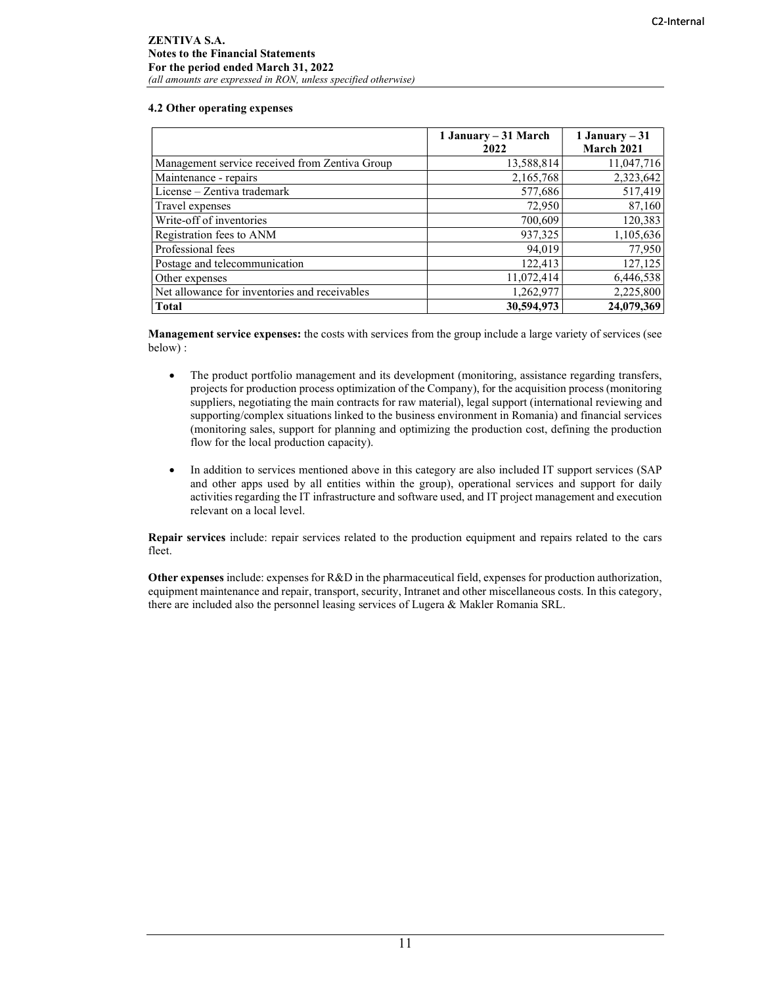#### 4.2 Other operating expenses

|                                                | 1 January – 31 March<br>2022 | 1 January $-31$<br>March 2021 |
|------------------------------------------------|------------------------------|-------------------------------|
| Management service received from Zentiva Group | 13,588,814                   | 11,047,716                    |
| Maintenance - repairs                          | 2,165,768                    | 2,323,642                     |
| License – Zentiva trademark                    | 577,686                      | 517,419                       |
| Travel expenses                                | 72,950                       | 87,160                        |
| Write-off of inventories                       | 700,609                      | 120,383                       |
| Registration fees to ANM                       | 937,325                      | 1,105,636                     |
| Professional fees                              | 94,019                       | 77,950                        |
| Postage and telecommunication                  | 122,413                      | 127,125                       |
| Other expenses                                 | 11,072,414                   | 6,446,538                     |
| Net allowance for inventories and receivables  | 1,262,977                    | 2,225,800                     |
| <b>Total</b>                                   | 30,594,973                   | 24,079,369                    |

Management service expenses: the costs with services from the group include a large variety of services (see below) :

- The product portfolio management and its development (monitoring, assistance regarding transfers, projects for production process optimization of the Company), for the acquisition process (monitoring suppliers, negotiating the main contracts for raw material), legal support (international reviewing and supporting/complex situations linked to the business environment in Romania) and financial services (monitoring sales, support for planning and optimizing the production cost, defining the production flow for the local production capacity).
- In addition to services mentioned above in this category are also included IT support services (SAP and other apps used by all entities within the group), operational services and support for daily activities regarding the IT infrastructure and software used, and IT project management and execution relevant on a local level.

Repair services include: repair services related to the production equipment and repairs related to the cars fleet.

Other expenses include: expenses for R&D in the pharmaceutical field, expenses for production authorization, equipment maintenance and repair, transport, security, Intranet and other miscellaneous costs. In this category, there are included also the personnel leasing services of Lugera & Makler Romania SRL.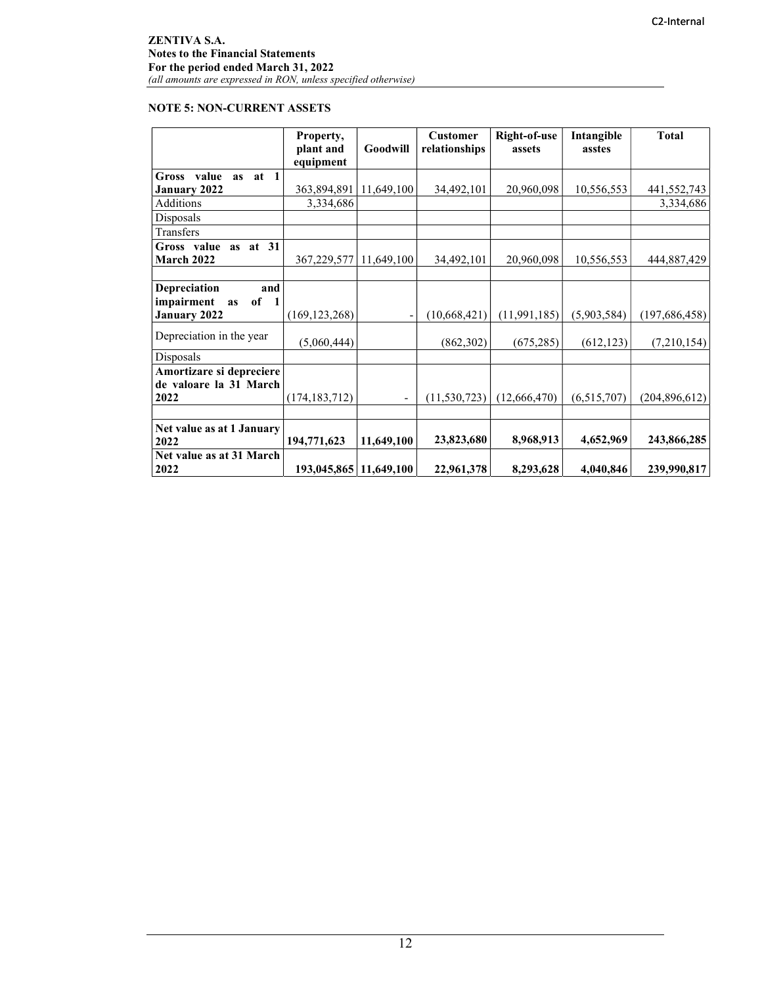# NOTE 5: NON-CURRENT ASSETS

|                                                               | Property,<br>plant and<br>equipment | Goodwill   | <b>Customer</b><br>relationships | Right-of-use<br>assets | Intangible<br>asstes | <b>Total</b>    |
|---------------------------------------------------------------|-------------------------------------|------------|----------------------------------|------------------------|----------------------|-----------------|
| Gross<br>$\blacksquare$<br>value<br>at<br><b>as</b>           |                                     |            |                                  |                        |                      |                 |
| January 2022                                                  | 363,894,891                         | 11,649,100 | 34,492,101                       | 20,960,098             | 10,556,553           | 441,552,743     |
| Additions                                                     | 3,334,686                           |            |                                  |                        |                      | 3,334,686       |
| Disposals                                                     |                                     |            |                                  |                        |                      |                 |
| Transfers                                                     |                                     |            |                                  |                        |                      |                 |
| Gross value as at 31<br>March 2022                            | 367,229,577                         | 11,649,100 | 34,492,101                       | 20,960,098             | 10,556,553           | 444,887,429     |
|                                                               |                                     |            |                                  |                        |                      |                 |
| Depreciation<br>and<br>impairment<br>of<br>$\mathbf{1}$<br>as |                                     |            |                                  |                        |                      |                 |
| January 2022                                                  | (169, 123, 268)                     |            | (10,668,421)                     | (11, 991, 185)         | (5,903,584)          | (197, 686, 458) |
| Depreciation in the year                                      | (5,060,444)                         |            | (862, 302)                       | (675, 285)             | (612, 123)           | (7,210,154)     |
| Disposals                                                     |                                     |            |                                  |                        |                      |                 |
| Amortizare si depreciere<br>de valoare la 31 March            |                                     |            |                                  |                        |                      |                 |
| 2022                                                          | (174, 183, 712)                     |            | (11, 530, 723)                   | (12,666,470)           | (6,515,707)          | (204, 896, 612) |
|                                                               |                                     |            |                                  |                        |                      |                 |
| Net value as at 1 January<br>2022                             | 194,771,623                         | 11,649,100 | 23,823,680                       | 8,968,913              | 4,652,969            | 243,866,285     |
| Net value as at 31 March<br>2022                              | 193,045,865 11,649,100              |            | 22,961,378                       | 8,293,628              | 4,040,846            | 239,990,817     |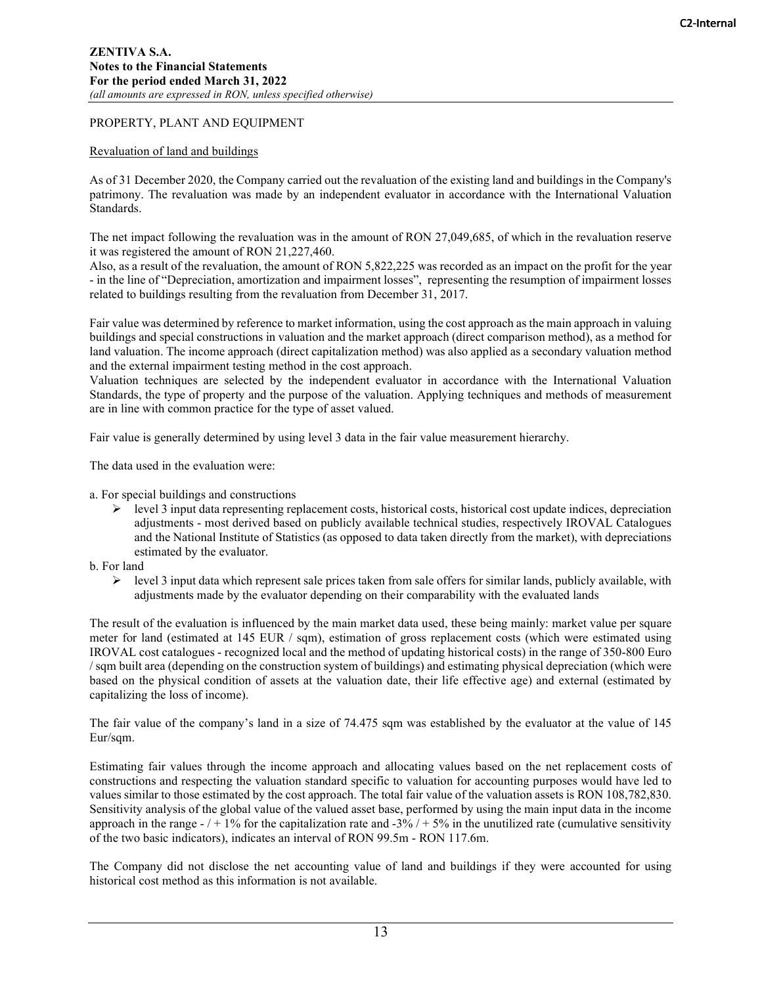## PROPERTY, PLANT AND EQUIPMENT

## Revaluation of land and buildings

As of 31 December 2020, the Company carried out the revaluation of the existing land and buildings in the Company's patrimony. The revaluation was made by an independent evaluator in accordance with the International Valuation Standards.

The net impact following the revaluation was in the amount of RON 27,049,685, of which in the revaluation reserve it was registered the amount of RON 21,227,460.

Also, as a result of the revaluation, the amount of RON 5,822,225 was recorded as an impact on the profit for the year - in the line of "Depreciation, amortization and impairment losses", representing the resumption of impairment losses related to buildings resulting from the revaluation from December 31, 2017.

Fair value was determined by reference to market information, using the cost approach as the main approach in valuing buildings and special constructions in valuation and the market approach (direct comparison method), as a method for land valuation. The income approach (direct capitalization method) was also applied as a secondary valuation method and the external impairment testing method in the cost approach.

Valuation techniques are selected by the independent evaluator in accordance with the International Valuation Standards, the type of property and the purpose of the valuation. Applying techniques and methods of measurement are in line with common practice for the type of asset valued.

Fair value is generally determined by using level 3 data in the fair value measurement hierarchy.

The data used in the evaluation were:

a. For special buildings and constructions

 $\triangleright$  level 3 input data representing replacement costs, historical costs, historical cost update indices, depreciation adjustments - most derived based on publicly available technical studies, respectively IROVAL Catalogues and the National Institute of Statistics (as opposed to data taken directly from the market), with depreciations estimated by the evaluator.

## b. For land

 $\triangleright$  level 3 input data which represent sale prices taken from sale offers for similar lands, publicly available, with adjustments made by the evaluator depending on their comparability with the evaluated lands

The result of the evaluation is influenced by the main market data used, these being mainly: market value per square meter for land (estimated at 145 EUR / sqm), estimation of gross replacement costs (which were estimated using IROVAL cost catalogues - recognized local and the method of updating historical costs) in the range of 350-800 Euro / sqm built area (depending on the construction system of buildings) and estimating physical depreciation (which were based on the physical condition of assets at the valuation date, their life effective age) and external (estimated by capitalizing the loss of income).

The fair value of the company's land in a size of 74.475 sqm was established by the evaluator at the value of 145 Eur/sqm.

Estimating fair values through the income approach and allocating values based on the net replacement costs of constructions and respecting the valuation standard specific to valuation for accounting purposes would have led to values similar to those estimated by the cost approach. The total fair value of the valuation assets is RON 108,782,830. Sensitivity analysis of the global value of the valued asset base, performed by using the main input data in the income approach in the range -  $/ + 1\%$  for the capitalization rate and -3%  $/ + 5\%$  in the unutilized rate (cumulative sensitivity of the two basic indicators), indicates an interval of RON 99.5m - RON 117.6m.

The Company did not disclose the net accounting value of land and buildings if they were accounted for using historical cost method as this information is not available.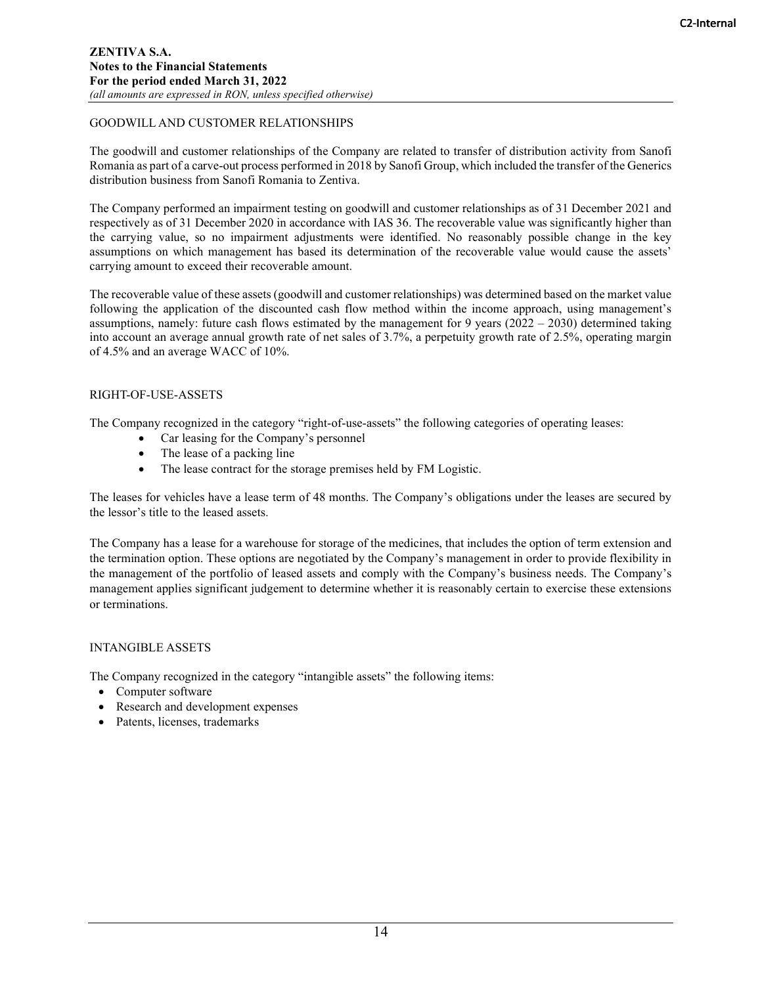## GOODWILL AND CUSTOMER RELATIONSHIPS

The goodwill and customer relationships of the Company are related to transfer of distribution activity from Sanofi Romania as part of a carve-out process performed in 2018 by Sanofi Group, which included the transfer of the Generics distribution business from Sanofi Romania to Zentiva.

The Company performed an impairment testing on goodwill and customer relationships as of 31 December 2021 and respectively as of 31 December 2020 in accordance with IAS 36. The recoverable value was significantly higher than the carrying value, so no impairment adjustments were identified. No reasonably possible change in the key assumptions on which management has based its determination of the recoverable value would cause the assets' carrying amount to exceed their recoverable amount.

The recoverable value of these assets (goodwill and customer relationships) was determined based on the market value following the application of the discounted cash flow method within the income approach, using management's assumptions, namely: future cash flows estimated by the management for 9 years (2022 – 2030) determined taking into account an average annual growth rate of net sales of 3.7%, a perpetuity growth rate of 2.5%, operating margin of 4.5% and an average WACC of 10%.

## RIGHT-OF-USE-ASSETS

The Company recognized in the category "right-of-use-assets" the following categories of operating leases:

- Car leasing for the Company's personnel
- The lease of a packing line
- The lease contract for the storage premises held by FM Logistic.

The leases for vehicles have a lease term of 48 months. The Company's obligations under the leases are secured by the lessor's title to the leased assets.

The Company has a lease for a warehouse for storage of the medicines, that includes the option of term extension and the termination option. These options are negotiated by the Company's management in order to provide flexibility in the management of the portfolio of leased assets and comply with the Company's business needs. The Company's management applies significant judgement to determine whether it is reasonably certain to exercise these extensions or terminations.

## INTANGIBLE ASSETS

The Company recognized in the category "intangible assets" the following items:

- Computer software
- Research and development expenses
- Patents, licenses, trademarks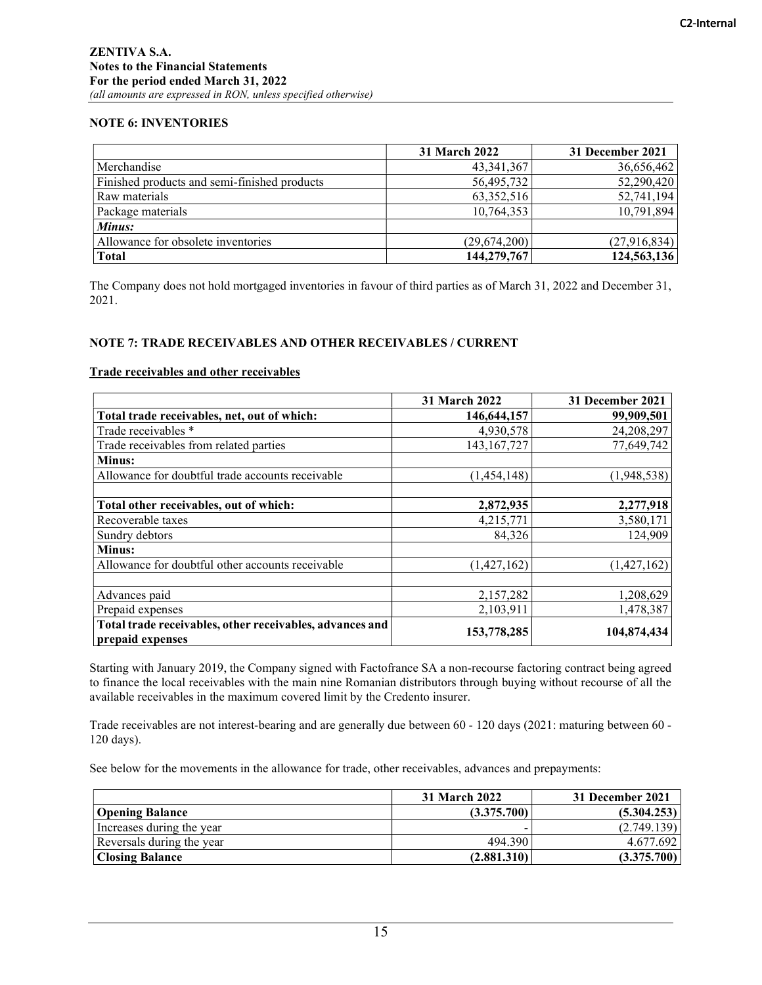## NOTE 6: INVENTORIES

|                                              | 31 March 2022 | 31 December 2021 |
|----------------------------------------------|---------------|------------------|
| Merchandise                                  | 43, 341, 367  | 36,656,462       |
| Finished products and semi-finished products | 56,495,732    | 52,290,420       |
| Raw materials                                | 63, 352, 516  | 52,741,194       |
| Package materials                            | 10,764,353    | 10,791,894       |
| Minus:                                       |               |                  |
| Allowance for obsolete inventories           | (29,674,200)  | (27, 916, 834)   |
| <b>Total</b>                                 | 144,279,767   | 124,563,136      |

The Company does not hold mortgaged inventories in favour of third parties as of March 31, 2022 and December 31, 2021.

## NOTE 7: TRADE RECEIVABLES AND OTHER RECEIVABLES / CURRENT

#### Trade receivables and other receivables

|                                                                              | <b>31 March 2022</b> | 31 December 2021 |
|------------------------------------------------------------------------------|----------------------|------------------|
| Total trade receivables, net, out of which:                                  | 146,644,157          | 99,909,501       |
| Trade receivables *                                                          | 4,930,578            | 24,208,297       |
| Trade receivables from related parties                                       | 143, 167, 727        | 77,649,742       |
| <b>Minus:</b>                                                                |                      |                  |
| Allowance for doubtful trade accounts receivable                             | (1,454,148)          | (1,948,538)      |
|                                                                              |                      |                  |
| Total other receivables, out of which:                                       | 2,872,935            | 2,277,918        |
| Recoverable taxes                                                            | 4,215,771            | 3,580,171        |
| Sundry debtors                                                               | 84,326               | 124,909          |
| Minus:                                                                       |                      |                  |
| Allowance for doubtful other accounts receivable                             | (1,427,162)          | (1,427,162)      |
|                                                                              |                      |                  |
| Advances paid                                                                | 2,157,282            | 1,208,629        |
| Prepaid expenses                                                             | 2,103,911            | 1,478,387        |
| Total trade receivables, other receivables, advances and<br>prepaid expenses | 153,778,285          | 104,874,434      |

Starting with January 2019, the Company signed with Factofrance SA a non-recourse factoring contract being agreed to finance the local receivables with the main nine Romanian distributors through buying without recourse of all the available receivables in the maximum covered limit by the Credento insurer.

Trade receivables are not interest-bearing and are generally due between 60 - 120 days (2021: maturing between 60 - 120 days).

See below for the movements in the allowance for trade, other receivables, advances and prepayments:

|                           | 31 March 2022 | 31 December 2021 |
|---------------------------|---------------|------------------|
| <b>Opening Balance</b>    | (3.375.700)   | (5.304.253)      |
| Increases during the year |               | (2.749.139)      |
| Reversals during the year | 494.390       | 4.677.692        |
| <b>Closing Balance</b>    | (2.881.310)   | (3.375.700)      |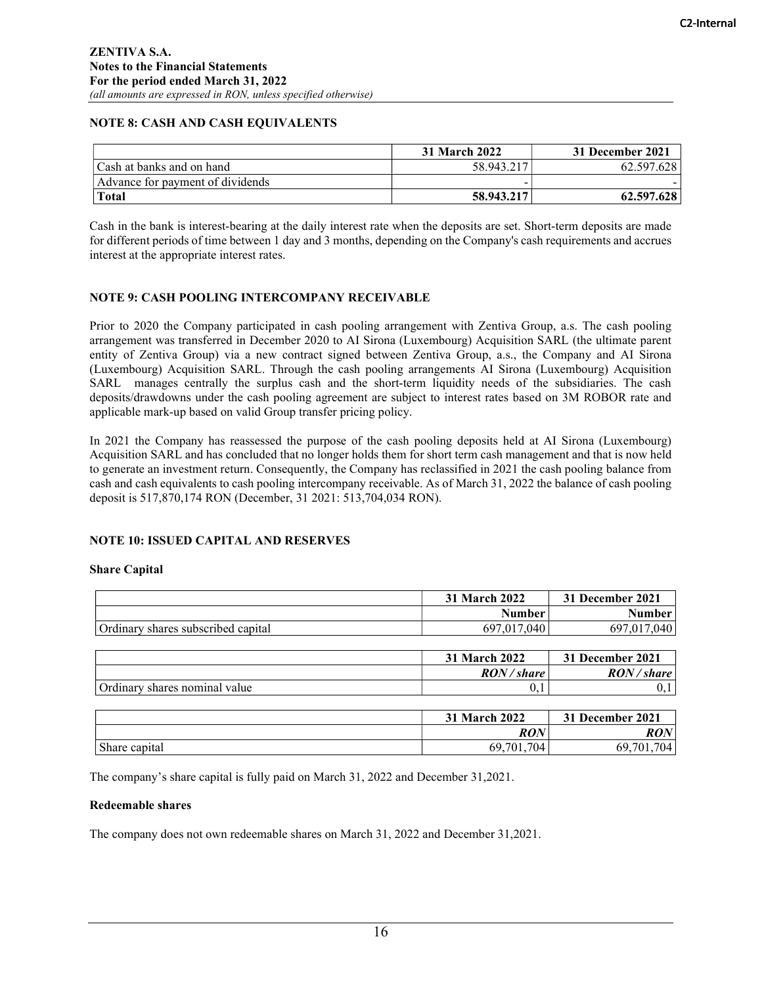# NOTE 8: CASH AND CASH EQUIVALENTS

|                                  | 31 March 2022 | 31 December 2021 |
|----------------------------------|---------------|------------------|
| Cash at banks and on hand        | 58.943.217    | 62.597.628       |
| Advance for payment of dividends |               |                  |
| <b>Total</b>                     | 58.943.217    | 62.597.628       |

Cash in the bank is interest-bearing at the daily interest rate when the deposits are set. Short-term deposits are made for different periods of time between 1 day and 3 months, depending on the Company's cash requirements and accrues interest at the appropriate interest rates.

## NOTE 9: CASH POOLING INTERCOMPANY RECEIVABLE

Prior to 2020 the Company participated in cash pooling arrangement with Zentiva Group, a.s. The cash pooling arrangement was transferred in December 2020 to AI Sirona (Luxembourg) Acquisition SARL (the ultimate parent entity of Zentiva Group) via a new contract signed between Zentiva Group, a.s., the Company and AI Sirona (Luxembourg) Acquisition SARL. Through the cash pooling arrangements AI Sirona (Luxembourg) Acquisition SARL manages centrally the surplus cash and the short-term liquidity needs of the subsidiaries. The cash deposits/drawdowns under the cash pooling agreement are subject to interest rates based on 3M ROBOR rate and applicable mark-up based on valid Group transfer pricing policy.

In 2021 the Company has reassessed the purpose of the cash pooling deposits held at AI Sirona (Luxembourg) Acquisition SARL and has concluded that no longer holds them for short term cash management and that is now held to generate an investment return. Consequently, the Company has reclassified in 2021 the cash pooling balance from cash and cash equivalents to cash pooling intercompany receivable. As of March 31, 2022 the balance of cash pooling deposit is 517,870,174 RON (December, 31 2021: 513,704,034 RON).

# NOTE 10: ISSUED CAPITAL AND RESERVES

## Share Capital

|                                    | 31 March 2022  | 31 December 2021 |
|------------------------------------|----------------|------------------|
|                                    | <b>Number</b>  | <b>Number</b>    |
| Ordinary shares subscribed capital | 697,017,040    | 697,017,040      |
|                                    |                |                  |
|                                    | 31 March 2022  | 31 December 2021 |
|                                    | $\mathbf{max}$ | $\mathbf{max}$   |

|                               | RON/share | RON/<br><i>share</i> |
|-------------------------------|-----------|----------------------|
| Ordinary shares nominal value | v. i      | v.                   |
|                               |           |                      |

|               | 31 March 2022             | 31 December 2021  |
|---------------|---------------------------|-------------------|
|               | <b>DAN</b><br><i>KU!V</i> | KV!               |
| Share capital | 704<br>$.70^{1}$<br>69. J | 704<br>701<br>69. |

The company's share capital is fully paid on March 31, 2022 and December 31,2021.

## Redeemable shares

The company does not own redeemable shares on March 31, 2022 and December 31,2021.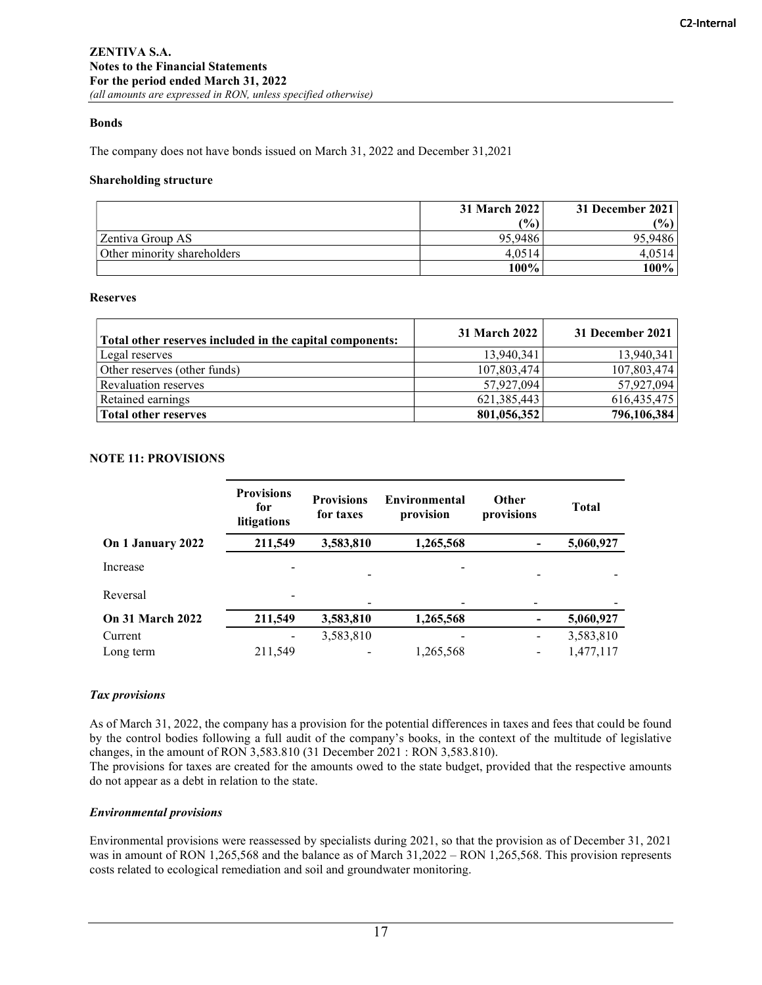## Bonds

The company does not have bonds issued on March 31, 2022 and December 31,2021

#### Shareholding structure

|                             | 31 March 2022 | 31 December 2021 |  |
|-----------------------------|---------------|------------------|--|
|                             | (%)           | $(\%)$           |  |
| Zentiva Group AS            | 95,9486       | 95.9486          |  |
| Other minority shareholders | 4.0514        | 4.0514           |  |
|                             | 100%          | 100%             |  |

### Reserves

| Total other reserves included in the capital components: | <b>31 March 2022</b> | 31 December 2021 |
|----------------------------------------------------------|----------------------|------------------|
| Legal reserves                                           | 13,940,341           | 13,940,341       |
| Other reserves (other funds)                             | 107,803,474          | 107,803,474      |
| Revaluation reserves                                     | 57,927,094           | 57,927,094       |
| Retained earnings                                        | 621, 385, 443        | 616, 435, 475    |
| <b>Total other reserves</b>                              | 801,056,352          | 796,106,384      |

## NOTE 11: PROVISIONS

|                         | <b>Provisions</b><br>for<br>litigations | <b>Provisions</b><br>for taxes | Environmental<br>provision | Other<br>provisions          | <b>Total</b> |
|-------------------------|-----------------------------------------|--------------------------------|----------------------------|------------------------------|--------------|
| On 1 January 2022       | 211,549                                 | 3,583,810                      | 1,265,568                  |                              | 5,060,927    |
| Increase                |                                         |                                |                            |                              |              |
| Reversal                |                                         |                                |                            |                              |              |
| <b>On 31 March 2022</b> | 211,549                                 | 3,583,810                      | 1,265,568                  | $\overline{\phantom{a}}$     | 5,060,927    |
| Current                 |                                         | 3,583,810                      |                            | $\qquad \qquad \blacksquare$ | 3,583,810    |
| Long term               | 211,549                                 |                                | 1,265,568                  | $\qquad \qquad \blacksquare$ | 1,477,117    |

## Tax provisions

As of March 31, 2022, the company has a provision for the potential differences in taxes and fees that could be found by the control bodies following a full audit of the company's books, in the context of the multitude of legislative changes, in the amount of RON 3,583.810 (31 December 2021 : RON 3,583.810).

The provisions for taxes are created for the amounts owed to the state budget, provided that the respective amounts do not appear as a debt in relation to the state.

## Environmental provisions

Environmental provisions were reassessed by specialists during 2021, so that the provision as of December 31, 2021 was in amount of RON 1,265,568 and the balance as of March 31,2022 – RON 1,265,568. This provision represents costs related to ecological remediation and soil and groundwater monitoring.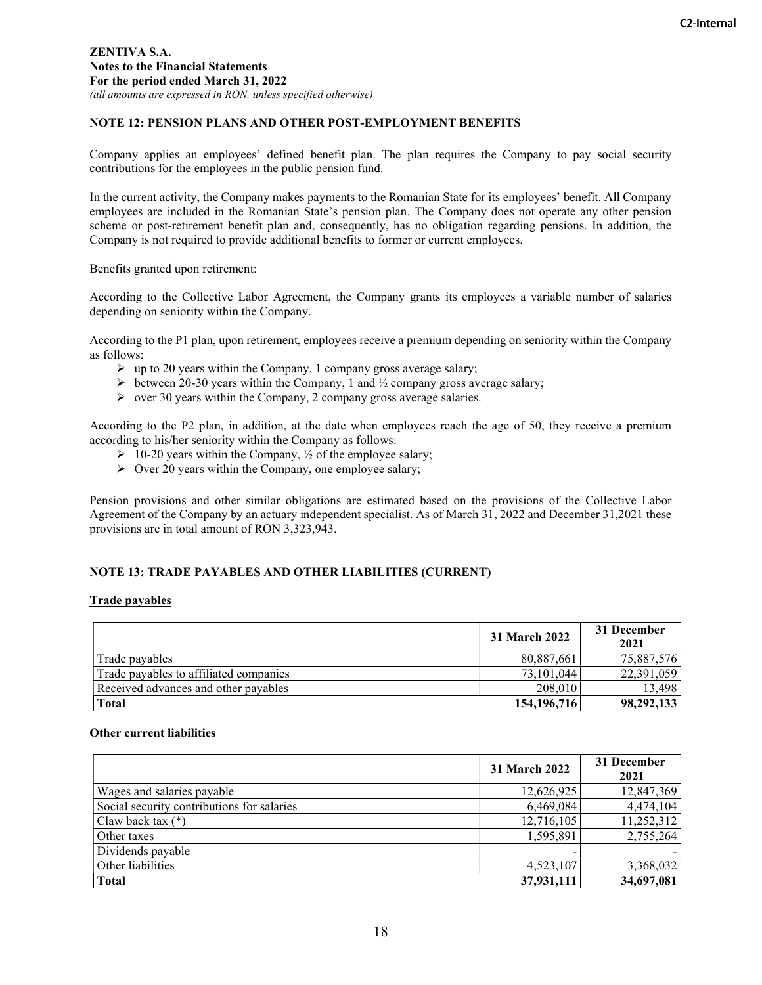# NOTE 12: PENSION PLANS AND OTHER POST-EMPLOYMENT BENEFITS

Company applies an employees' defined benefit plan. The plan requires the Company to pay social security contributions for the employees in the public pension fund.

In the current activity, the Company makes payments to the Romanian State for its employees' benefit. All Company employees are included in the Romanian State's pension plan. The Company does not operate any other pension scheme or post-retirement benefit plan and, consequently, has no obligation regarding pensions. In addition, the Company is not required to provide additional benefits to former or current employees.

Benefits granted upon retirement:

According to the Collective Labor Agreement, the Company grants its employees a variable number of salaries depending on seniority within the Company.

According to the P1 plan, upon retirement, employees receive a premium depending on seniority within the Company as follows:

- $\triangleright$  up to 20 years within the Company, 1 company gross average salary;
- $\triangleright$  between 20-30 years within the Company, 1 and ½ company gross average salary;
- $\triangleright$  over 30 years within the Company, 2 company gross average salaries.

According to the P2 plan, in addition, at the date when employees reach the age of 50, they receive a premium according to his/her seniority within the Company as follows:

- $\geq 10-20$  years within the Company,  $\frac{1}{2}$  of the employee salary;
- $\triangleright$  Over 20 years within the Company, one employee salary;

Pension provisions and other similar obligations are estimated based on the provisions of the Collective Labor Agreement of the Company by an actuary independent specialist. As of March 31, 2022 and December 31,2021 these provisions are in total amount of RON 3,323,943.

# NOTE 13: TRADE PAYABLES AND OTHER LIABILITIES (CURRENT)

#### Trade payables

|                                        | 31 March 2022 | 31 December<br>2021 |
|----------------------------------------|---------------|---------------------|
| Trade pavables                         | 80,887,661    | 75,887,576          |
| Trade payables to affiliated companies | 73,101,044    | 22,391,059          |
| Received advances and other payables   | 208,010       | 13,498              |
| <b>Total</b>                           | 154, 196, 716 | 98,292,133          |

#### Other current liabilities

|                                            | 31 March 2022 | 31 December<br>2021 |
|--------------------------------------------|---------------|---------------------|
| Wages and salaries payable                 | 12,626,925    | 12,847,369          |
| Social security contributions for salaries | 6,469,084     | 4,474,104           |
| Claw back tax $(*)$                        | 12,716,105    | 11,252,312          |
| Other taxes                                | 1,595,891     | 2,755,264           |
| Dividends payable                          |               |                     |
| Other liabilities                          | 4,523,107     | 3,368,032           |
| <b>Total</b>                               | 37,931,111    | 34,697,081          |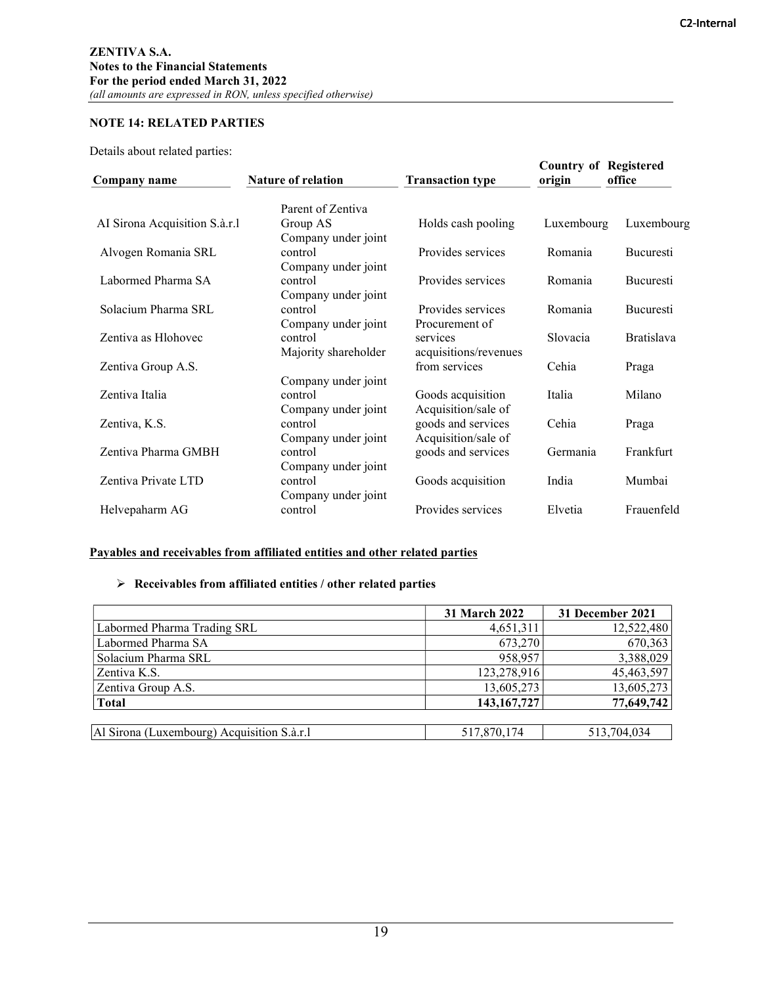# NOTE 14: RELATED PARTIES

Details about related parties:

| Company name                  | <b>Nature of relation</b>       | <b>Transaction type</b>                   | <b>Country of Registered</b><br>origin | office            |
|-------------------------------|---------------------------------|-------------------------------------------|----------------------------------------|-------------------|
|                               | Parent of Zentiva               |                                           |                                        |                   |
| AI Sirona Acquisition S.à.r.l | Group AS<br>Company under joint | Holds cash pooling                        | Luxembourg                             | Luxembourg        |
| Alvogen Romania SRL           | control<br>Company under joint  | Provides services                         | Romania                                | <b>Bucuresti</b>  |
| Labormed Pharma SA            | control<br>Company under joint  | Provides services                         | Romania                                | <b>Bucuresti</b>  |
| Solacium Pharma SRL           | control<br>Company under joint  | Provides services<br>Procurement of       | Romania                                | <b>Bucuresti</b>  |
| Zentiva as Hlohovec           | control<br>Majority shareholder | services<br>acquisitions/revenues         | Slovacia                               | <b>Bratislava</b> |
| Zentiva Group A.S.            | Company under joint             | from services                             | Cehia                                  | Praga             |
| Zentiva Italia                | control<br>Company under joint  | Goods acquisition<br>Acquisition/sale of  | Italia                                 | Milano            |
| Zentiva, K.S.                 | control<br>Company under joint  | goods and services<br>Acquisition/sale of | Cehia                                  | Praga             |
| Zentiva Pharma GMBH           | control<br>Company under joint  | goods and services                        | Germania                               | Frankfurt         |
| Zentiva Private LTD           | control<br>Company under joint  | Goods acquisition                         | India                                  | Mumbai            |
| Helvepaharm AG                | control                         | Provides services                         | Elvetia                                | Frauenfeld        |

## Payables and receivables from affiliated entities and other related parties

### $\triangleright$  Receivables from affiliated entities / other related parties

|                                            | <b>31 March 2022</b> | 31 December 2021 |
|--------------------------------------------|----------------------|------------------|
| Labormed Pharma Trading SRL                | 4,651,311            | 12,522,480       |
| Labormed Pharma SA                         | 673,270              | 670,363          |
| Solacium Pharma SRL                        | 958,957              | 3,388,029        |
| Zentiva K.S.                               | 123,278,916          | 45,463,597       |
| Zentiva Group A.S.                         | 13,605,273           | 13,605,273       |
| <b>Total</b>                               | 143, 167, 727        | 77,649,742       |
|                                            |                      |                  |
| Al Sirona (Luxembourg) Acquisition S.à.r.1 | 517,870,174          | 513,704,034      |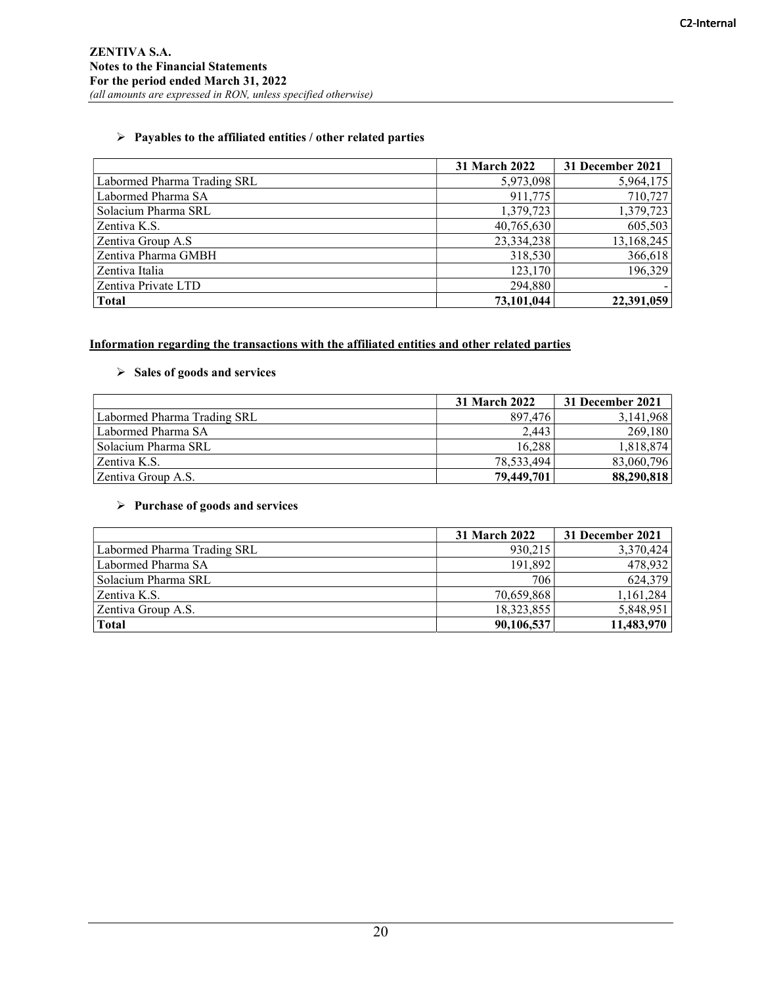# $\triangleright$  Payables to the affiliated entities / other related parties

|                             | 31 March 2022 | 31 December 2021 |
|-----------------------------|---------------|------------------|
| Labormed Pharma Trading SRL | 5,973,098     | 5,964,175        |
| Labormed Pharma SA          | 911,775       | 710,727          |
| Solacium Pharma SRL         | 1,379,723     | 1,379,723        |
| Zentiva K.S.                | 40,765,630    | 605,503          |
| Zentiva Group A.S           | 23,334,238    | 13,168,245       |
| Zentiva Pharma GMBH         | 318,530       | 366,618          |
| Zentiva Italia              | 123,170       | 196,329          |
| Zentiva Private LTD         | 294,880       |                  |
| <b>Total</b>                | 73,101,044    | 22,391,059       |

# Information regarding the transactions with the affiliated entities and other related parties

# $\triangleright$  Sales of goods and services

|                             | <b>31 March 2022</b> | 31 December 2021 |
|-----------------------------|----------------------|------------------|
| Labormed Pharma Trading SRL | 897,476              | 3,141,968        |
| Labormed Pharma SA          | 2.443                | 269,180          |
| Solacium Pharma SRL         | 16.288               | 1,818,874        |
| Zentiva K.S.                | 78,533,494           | 83,060,796       |
| Zentiva Group A.S.          | 79,449,701           | 88,290,818       |

# $\triangleright$  Purchase of goods and services

|                             | <b>31 March 2022</b>    | 31 December 2021 |
|-----------------------------|-------------------------|------------------|
| Labormed Pharma Trading SRL | 930,215                 | 3,370,424        |
| Labormed Pharma SA          | 191.892                 | 478,932          |
| Solacium Pharma SRL         | 706                     | 624,379          |
| Zentiva K.S.                | 70,659,868              | 1,161,284        |
| Zentiva Group A.S.          | 5,848,951<br>18,323,855 |                  |
| <b>Total</b>                | 90,106,537              | 11,483,970       |